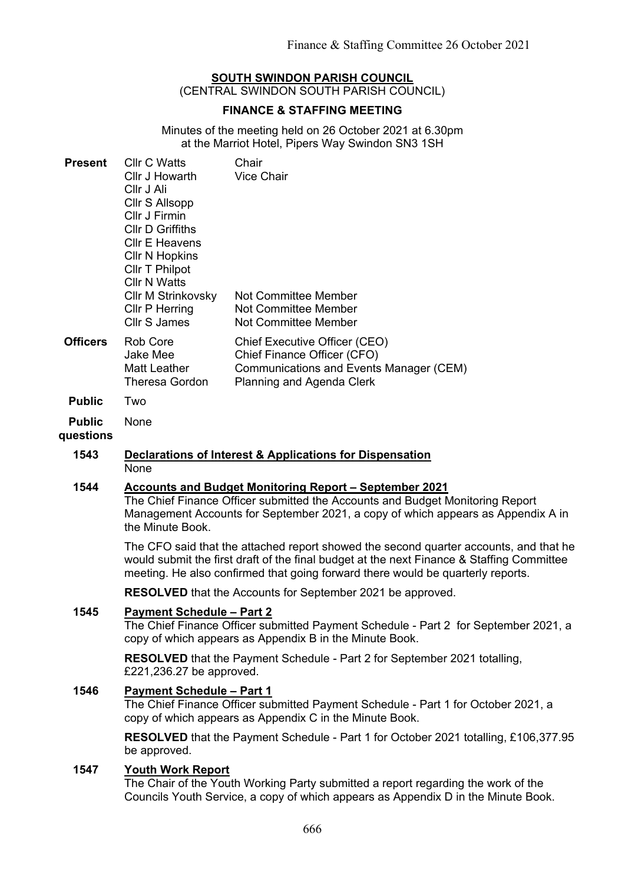# **SOUTH SWINDON PARISH COUNCIL**

(CENTRAL SWINDON SOUTH PARISH COUNCIL)

## **FINANCE & STAFFING MEETING**

Minutes of the meeting held on 26 October 2021 at 6.30pm at the Marriot Hotel, Pipers Way Swindon SN3 1SH

| <b>Present</b>             | <b>CIIr C Watts</b><br>Cllr J Howarth<br>Cllr J Ali<br>Cllr S Allsopp<br>Cllr J Firmin<br><b>Cllr D Griffiths</b><br><b>CIIr E Heavens</b><br><b>CIIr N Hopkins</b><br><b>Cllr T Philpot</b><br><b>Cllr N Watts</b><br><b>Cllr M Strinkovsky</b><br>Cllr P Herring<br>Cllr S James | Chair<br><b>Vice Chair</b><br>Not Committee Member<br><b>Not Committee Member</b><br><b>Not Committee Member</b>                            |
|----------------------------|------------------------------------------------------------------------------------------------------------------------------------------------------------------------------------------------------------------------------------------------------------------------------------|---------------------------------------------------------------------------------------------------------------------------------------------|
| <b>Officers</b>            | Rob Core<br>Jake Mee<br><b>Matt Leather</b><br><b>Theresa Gordon</b>                                                                                                                                                                                                               | Chief Executive Officer (CEO)<br>Chief Finance Officer (CFO)<br><b>Communications and Events Manager (CEM)</b><br>Planning and Agenda Clerk |
| <b>Public</b>              | Two                                                                                                                                                                                                                                                                                |                                                                                                                                             |
| <b>Public</b><br>questions | None                                                                                                                                                                                                                                                                               |                                                                                                                                             |
| 1543                       | Declarations of Interest & Applications for Dispensation<br>None                                                                                                                                                                                                                   |                                                                                                                                             |
| 1544                       | <b>Accounts and Budget Monitoring Report - September 2021</b><br>The Chief Finance Officer submitted the Accounts and Budget Monitoring Report<br>Management Accounts for September 2021, a copy of which appears as Appendix A in<br>the Minute Book.                             |                                                                                                                                             |
|                            | The CFO said that the attached report showed the second quarter accounts, and that he<br>would submit the first draft of the final budget at the next Finance & Staffing Committee<br>meeting. He also confirmed that going forward there would be quarterly reports.              |                                                                                                                                             |
|                            | <b>RESOLVED</b> that the Accounts for September 2021 be approved.                                                                                                                                                                                                                  |                                                                                                                                             |
| 1545                       | <b>Payment Schedule - Part 2</b><br>The Chief Finance Officer submitted Payment Schedule - Part 2 for September 2021, a<br>copy of which appears as Appendix B in the Minute Book.                                                                                                 |                                                                                                                                             |
|                            | <b>RESOLVED</b> that the Payment Schedule - Part 2 for September 2021 totalling,<br>£221,236.27 be approved.                                                                                                                                                                       |                                                                                                                                             |
| 1546                       | <b>Payment Schedule - Part 1</b><br>The Chief Finance Officer submitted Payment Schedule - Part 1 for October 2021, a<br>copy of which appears as Appendix C in the Minute Book.                                                                                                   |                                                                                                                                             |
|                            | RESOLVED that the Payment Schedule - Part 1 for October 2021 totalling, £106,377.95<br>be approved.                                                                                                                                                                                |                                                                                                                                             |
| 1547                       | <b>Youth Work Report</b>                                                                                                                                                                                                                                                           |                                                                                                                                             |

The Chair of the Youth Working Party submitted a report regarding the work of the Councils Youth Service, a copy of which appears as Appendix D in the Minute Book.